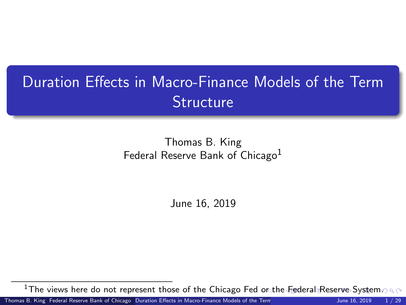# <span id="page-0-0"></span>Duration Effects in Macro-Finance Models of the Term **Structure**

#### Thomas B. King Federal Reserve Bank of Chicago<sup>1</sup>

June 16, 2019

<sup>1</sup>The views here do not represent those of the Chicago Fed [or](#page-0-0) [the](#page-1-0) [Fed](#page-0-0)[e](#page-1-0)[ral](#page-0-0) [Re](#page-28-0)[serv](#page-0-0)[e S](#page-28-0)[ys](#page-0-0)[tem](#page-28-0).

Thomas B. King Federal Reserve Bank of Chicago [Duration Effects in Macro-Finance Models of the Term Structure](#page-28-0) June 16, 2019 1/29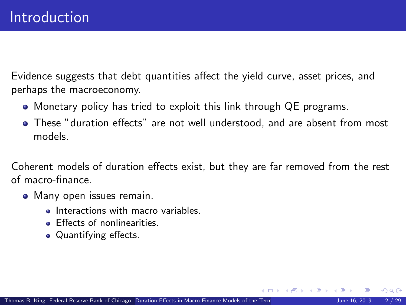<span id="page-1-0"></span>Evidence suggests that debt quantities affect the yield curve, asset prices, and perhaps the macroeconomy.

- Monetary policy has tried to exploit this link through QE programs.
- These "duration effects" are not well understood, and are absent from most models.

Coherent models of duration effects exist, but they are far removed from the rest of macro-finance.

- Many open issues remain.
	- **Interactions with macro variables**
	- **Effects of nonlinearities.**
	- Quantifying effects.

 $\Omega$ 

**K ロ ▶ - K 何 ▶ - K ヨ ▶ - K**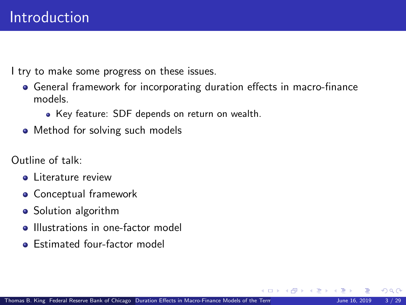I try to make some progress on these issues.

- General framework for incorporating duration effects in macro-finance models.
	- Key feature: SDF depends on return on wealth.
- Method for solving such models

Outline of talk:

- **.** Literature review
- Conceptual framework
- Solution algorithm
- **Illustrations in one-factor model**
- **•** Estimated four-factor model

 $\Omega$ 

**K ロ ▶ | K 何 ▶ | K ヨ ▶ |**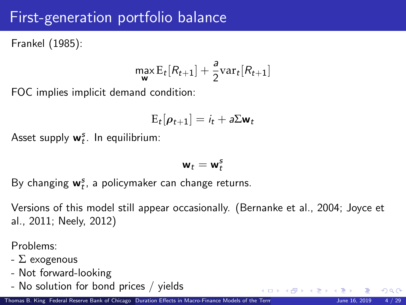## First-generation portfolio balance

Frankel (1985):

$$
\max_{\mathbf{w}} \mathrm{E}_t[R_{t+1}] + \frac{a}{2} \mathrm{var}_t[R_{t+1}]
$$

FOC implies implicit demand condition:

$$
E_t[\rho_{t+1}] = i_t + a\Sigma \mathbf{w}_t
$$

Asset supply  $w_t^s$ . In equilibrium:

$$
\mathbf{w}_t = \mathbf{w}_t^s
$$

By changing  $w_t^s$ , a policymaker can change returns.

Versions of this model still appear occasionally. (Bernanke et al., 2004; Joyce et al., 2011; Neely, 2012)

Problems:

- $\Sigma$  exogenous
- Not forward-looking
- No solution for bond prices / yields

 $\Omega$ 

メロト メ御 トメ ヨ トメ ヨト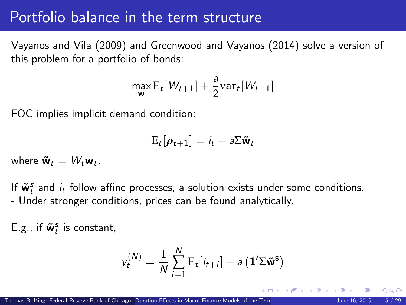#### Portfolio balance in the term structure

Vayanos and Vila (2009) and Greenwood and Vayanos (2014) solve a version of this problem for a portfolio of bonds:

$$
\max_{\mathbf{w}} \mathrm{E}_t[W_{t+1}] + \frac{a}{2} \mathrm{var}_t[W_{t+1}]
$$

FOC implies implicit demand condition:

$$
E_t[\rho_{t+1}] = i_t + a\Sigma \tilde{\mathbf{w}}_t
$$

where  $\tilde{\mathbf{w}}_t = W_t \mathbf{w}_t$ .

If  $\tilde{\mathbf{w}}_t^s$  and  $i_t$  follow affine processes, a solution exists under some conditions. - Under stronger conditions, prices can be found analytically.

E.g., if  $\tilde{\mathbf{w}}_t^s$  is constant,

$$
y_t^{(N)} = \frac{1}{N} \sum_{i=1}^N \mathrm{E}_t[i_{t+i}] + a\left(\mathbf{1}'\boldsymbol{\Sigma}\tilde{\mathbf{w}}^{\mathbf{s}}\right)
$$

**K ロ ▶ | K 伺 ▶ | K ヨ ▶ |**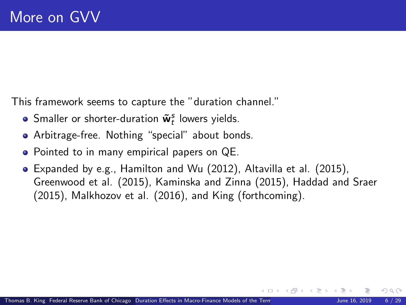This framework seems to capture the "duration channel."

- Smaller or shorter-duration  $\tilde{\mathbf{w}}_t^s$  lowers yields.
- Arbitrage-free. Nothing "special" about bonds.
- Pointed to in many empirical papers on QE.
- Expanded by e.g., Hamilton and Wu (2012), Altavilla et al. (2015), Greenwood et al. (2015), Kaminska and Zinna (2015), Haddad and Sraer (2015), Malkhozov et al. (2016), and King (forthcoming).

( ロ ) - ( 何 ) - ( ヨ ) -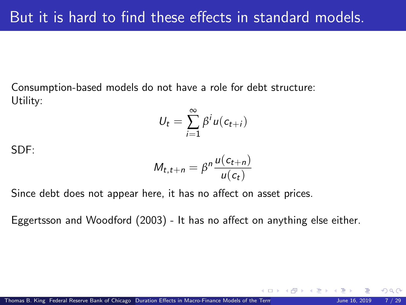Consumption-based models do not have a role for debt structure: Utility:

$$
U_t = \sum_{i=1}^{\infty} \beta^i u(c_{t+i})
$$

SDF:

$$
M_{t,t+n} = \beta^n \frac{u(c_{t+n})}{u(c_t)}
$$

Since debt does not appear here, it has no affect on asset prices.

Eggertsson and Woodford (2003) - It has no affect on anything else either.

 $\Omega$ 

**KO K K R K K D K**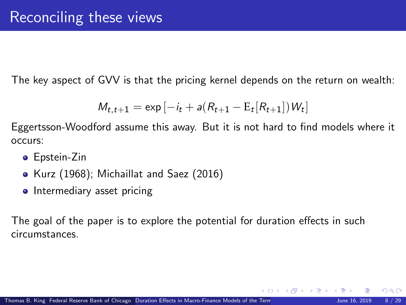The key aspect of GVV is that the pricing kernel depends on the return on wealth:

$$
M_{t,t+1} = \exp[-i_t + a(R_{t+1} - E_t[R_{t+1}])W_t]
$$

Eggertsson-Woodford assume this away. But it is not hard to find models where it occurs:

- **•** Epstein-Zin
- Kurz (1968); Michaillat and Saez (2016)
- Intermediary asset pricing

The goal of the paper is to explore the potential for duration effects in such circumstances.

 $\Omega$ 

**K ロ ト K 何 ト K ヨ ト K**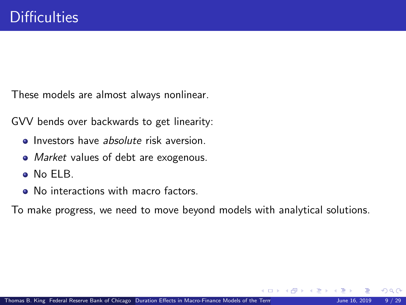These models are almost always nonlinear.

GVV bends over backwards to get linearity:

- **Investors have absolute risk aversion.**
- Market values of debt are exogenous.
- No ELB.
- No interactions with macro factors.

To make progress, we need to move beyond models with analytical solutions.

 $\Omega$ 

(□ ) ( n ) ( 三 )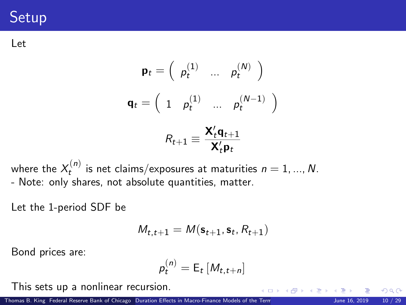# **Setup**

Let

$$
\mathbf{p}_t = \begin{pmatrix} p_t^{(1)} & \dots & p_t^{(N)} \end{pmatrix}
$$

$$
\mathbf{q}_t = \begin{pmatrix} 1 & p_t^{(1)} & \dots & p_t^{(N-1)} \end{pmatrix}
$$

$$
R_{t+1} \equiv \frac{\mathbf{X}_t^{\prime} \mathbf{q}_{t+1}}{\mathbf{X}_t^{\prime} \mathbf{p}_t}
$$

where the  $X_t^{(n)}$  is net claims/exposures at maturities  $n=1,...,N.$ - Note: only shares, not absolute quantities, matter.

Let the 1-period SDF be

$$
\mathit{M}_{t,t+1} = \mathit{M}(\mathbf{s}_{t+1}, \mathbf{s}_{t}, \mathit{R}_{t+1})
$$

Bond prices are:

$$
p_t^{(n)} = \mathsf{E}_t \left[ M_{t,t+n} \right]
$$

This sets up a nonlinear recursion.

Thomas B. King Federal Reserve Bank of Chicago [Duration Effects in Macro-Finance Models of the Term Structure](#page-0-0) June 16, 2019 10 / 29

 $\Omega$ 

**K ロ ト K 御 ト K ミ ト**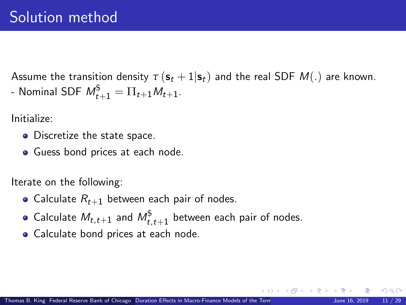Assume the transition density  $\tau(\mathbf{s}_t + 1|\mathbf{s}_t)$  and the real SDF  $M(.)$  are known. - Nominal SDF  $M^\$_{t+1} = \Pi_{t+1} M_{t+1}.$ 

Initialize:

- Discretize the state space.
- Guess bond prices at each node.

Iterate on the following:

- Calculate  $R_{t+1}$  between each pair of nodes.
- Calculate  $M_{t,t+1}$  and  $M_{t,t+1}^{\$}$  between each pair of nodes.
- Calculate bond prices at each node.

**K ロ ▶ | K 何 ▶ | K ヨ ▶ |**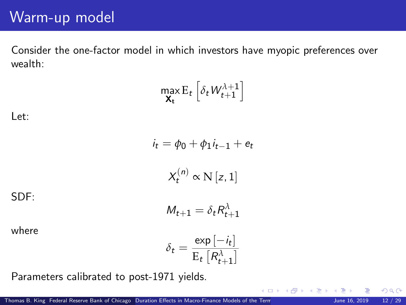## Warm-up model

Consider the one-factor model in which investors have myopic preferences over wealth:

$$
\max_{\mathbf{X_t}} \mathbf{E}_t \left[ \delta_t W_{t+1}^{\lambda+1} \right]
$$

Let:

$$
i_t = \phi_0 + \phi_1 i_{t-1} + e_t
$$

$$
X_t^{(n)} \propto N [z, 1]
$$

$$
M_{t+1} = \delta_t R_{t+1}^{\lambda}
$$

SDF:

where

$$
\delta_t = \frac{\exp\left[-i_t\right]}{\mathrm{E}_t\left[R_{t+1}^{\lambda}\right]}
$$

Parameters calibrated to post-1971 yields.

 $\Omega$ 

**K ロ ト K 御 ト K ミ ト**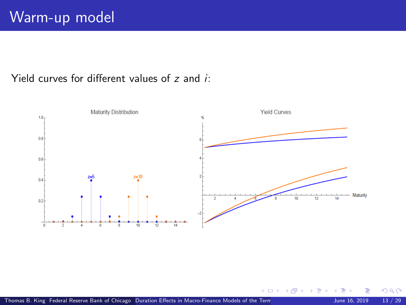#### Yield curves for different values of z and i:



つへへ

**K ロ ト K 伊 ト K**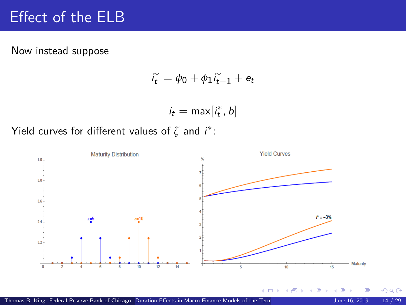## Effect of the ELB

Now instead suppose

$$
i_t^* = \phi_0 + \phi_1 i_{t-1}^* + e_t
$$

$$
i_t = \max[i_t^*, b]
$$

Yield curves for different values of  $\zeta$  and  $i^*$ :

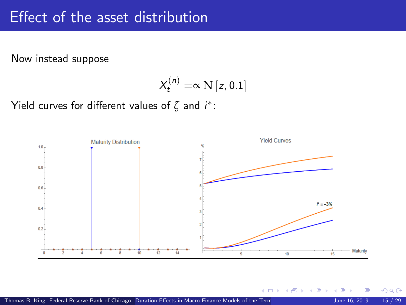#### Effect of the asset distribution

Now instead suppose

$$
X_t^{(n)} = \propto N[z, 0.1]
$$

Yield curves for different values of  $\zeta$  and  $i^*$ :



 $\Omega$ 

**K ロ ト K 伊 ト K**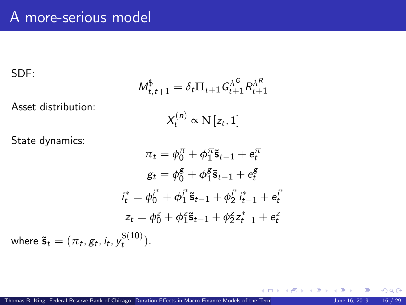SDF:

where

$$
M_{t,t+1}^{\$} = \delta_t \Pi_{t+1} G_{t+1}^{\lambda^G} R_{t+1}^{\lambda^R}
$$

Asset distribution:

$$
X_t^{(n)} \propto \mathcal{N}\left[z_t, 1\right]
$$

State dynamics:

$$
\pi_t = \phi_0^{\pi} + \phi_1^{\pi} \tilde{\mathbf{s}}_{t-1} + e_t^{\pi}
$$

$$
g_t = \phi_0^{\mathcal{g}} + \phi_1^{\mathcal{g}} \tilde{\mathbf{s}}_{t-1} + e_t^{\mathcal{g}}
$$

$$
i_t^* = \phi_0^{i^*} + \phi_1^{i^*} \tilde{\mathbf{s}}_{t-1} + \phi_2^{i^*} i_{t-1}^* + e_t^{i^*}
$$

$$
z_t = \phi_0^z + \phi_1^z \tilde{\mathbf{s}}_{t-1} + \phi_2^z z_{t-1}^* + e_t^z
$$

$$
\tilde{\mathbf{s}}_t = (\pi_t, g_t, i_t, y_t^{\$(10)}).
$$

 $299$ 

K ロ ▶ K 個 ▶ K 君 ▶ K 君 ▶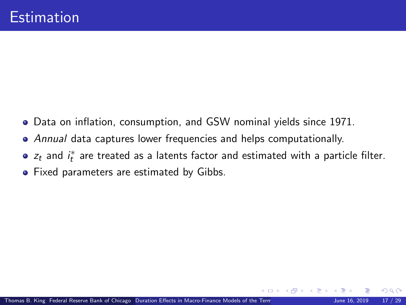- Data on inflation, consumption, and GSW nominal yields since 1971.
- Annual data captures lower frequencies and helps computationally.
- $z_t$  and  $i_t^*$  are treated as a latents factor and estimated with a particle filter.
- **•** Fixed parameters are estimated by Gibbs.

 $\Omega$ 

**K ロ ▶ | K 何 ▶ | K ヨ ▶**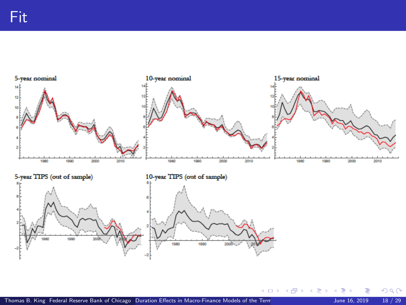

 $299$ 

メロメ メ御 メメ きょくき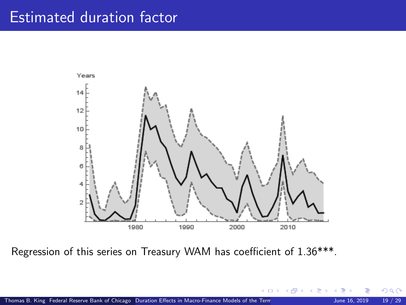### Estimated duration factor



Regression of this series on Treasury WAM has coefficient of 1.36\*\*\*.

 $\Omega$ 

**K ロ ト K 倒 ト K 差 ト**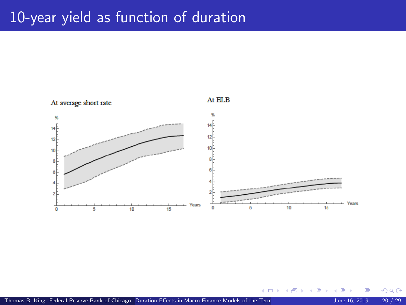## 10-year yield as function of duration



 $209$ 

**K ロ ト K 伊 ト K**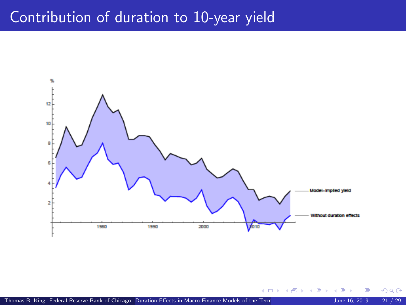#### Contribution of duration to 10-year yield



 $299$ 

**K ロ ト K 御 ト K 君 ト**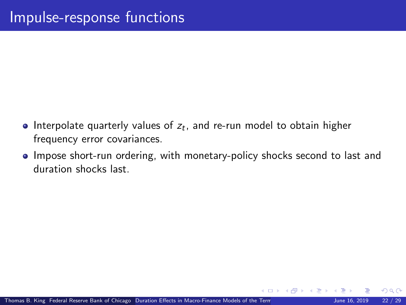- Interpolate quarterly values of  $z_t$ , and re-run model to obtain higher frequency error covariances.
- Impose short-run ordering, with monetary-policy shocks second to last and duration shocks last.

 $\Omega$ 

**K ロ ト K 何 ト K ヨ ト**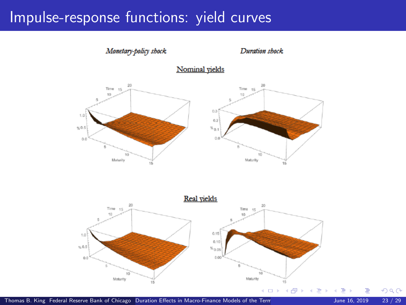#### Impulse-response functions: yield curves



Thomas B. King Federal Reserve Bank of Chicago [Duration Effects in Macro-Finance Models of the Term Structure](#page-0-0) June 16, 2019 23 / 29

 $299$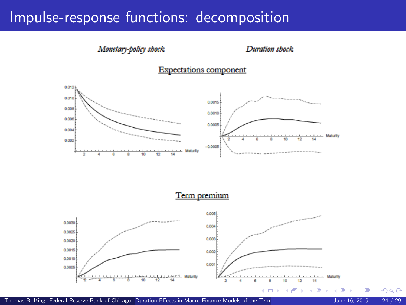#### Impulse-response functions: decomposition

#### Monetary-policy shock

#### Duration shock





Term premium

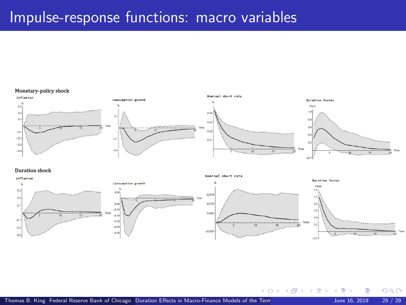#### Impulse-response functions: macro variables

#### Monetary-policy shock



#### **Duration shock**



**K ロ ▶ K 何 ▶ K 手** 

 $QQ$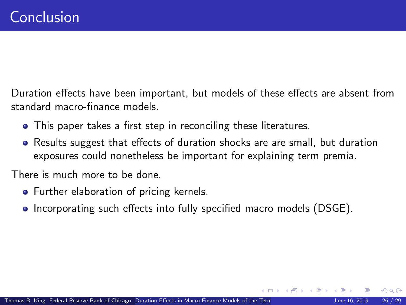Duration effects have been important, but models of these effects are absent from standard macro-finance models.

- This paper takes a first step in reconciling these literatures.
- Results suggest that effects of duration shocks are are small, but duration exposures could nonetheless be important for explaining term premia.

There is much more to be done.

- **•** Further elaboration of pricing kernels.
- Incorporating such effects into fully specified macro models (DSGE).

**K ロ ▶ | K 伺 ▶ | K ヨ ▶ |**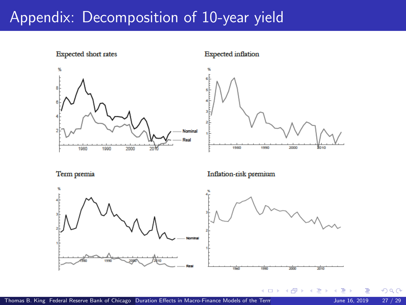#### Appendix: Decomposition of 10-year yield

**Expected short rates Expected** inflation Nominal Real 1980 1990 2000  $20<sup>1</sup>$ 1980 1990 2000 2010 Term premia Inflation-risk premium

Thomas B. King Federal Reserve Bank of Chicago [Duration Effects in Macro-Finance Models of the Term Structure](#page-0-0) June 16, 2019 27 / 29

 $\Omega$ 

2010

**4 ロ ト 4 何 ト 4**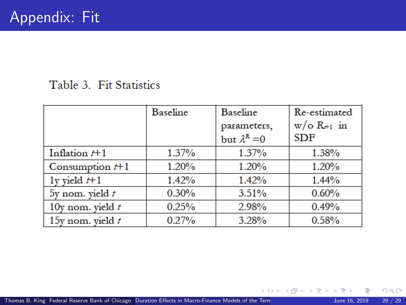#### Table 3. Fit Statistics

|                    | Baseline | <b>Baseline</b><br>parameters,<br>but $\lambda^R = 0$ | Re-estimated<br>$w/\circ R_{r+1}$ in<br><b>SDF</b> |
|--------------------|----------|-------------------------------------------------------|----------------------------------------------------|
| Inflation $t+1$    | 1.37%    | 1.37%                                                 | 1.38%                                              |
| Consumption $t+1$  | 1.20%    | 1.20%                                                 | 1.20%                                              |
| 1y yield $t+1$     | 1.42%    | 1.42%                                                 | $1.44\%$                                           |
| 5y nom. yield $t$  | 0.30%    | 3.51%                                                 | 0.60%                                              |
| 10y nom. yield $t$ | 0.25%    | 2.98%                                                 | 0.49%                                              |
| 15y nom, yield $t$ | 0.27%    | 3.28%                                                 | 0.58%                                              |

 $299$ 

K ロ ▶ K 個 ▶ K 君 ▶ K 君 ▶